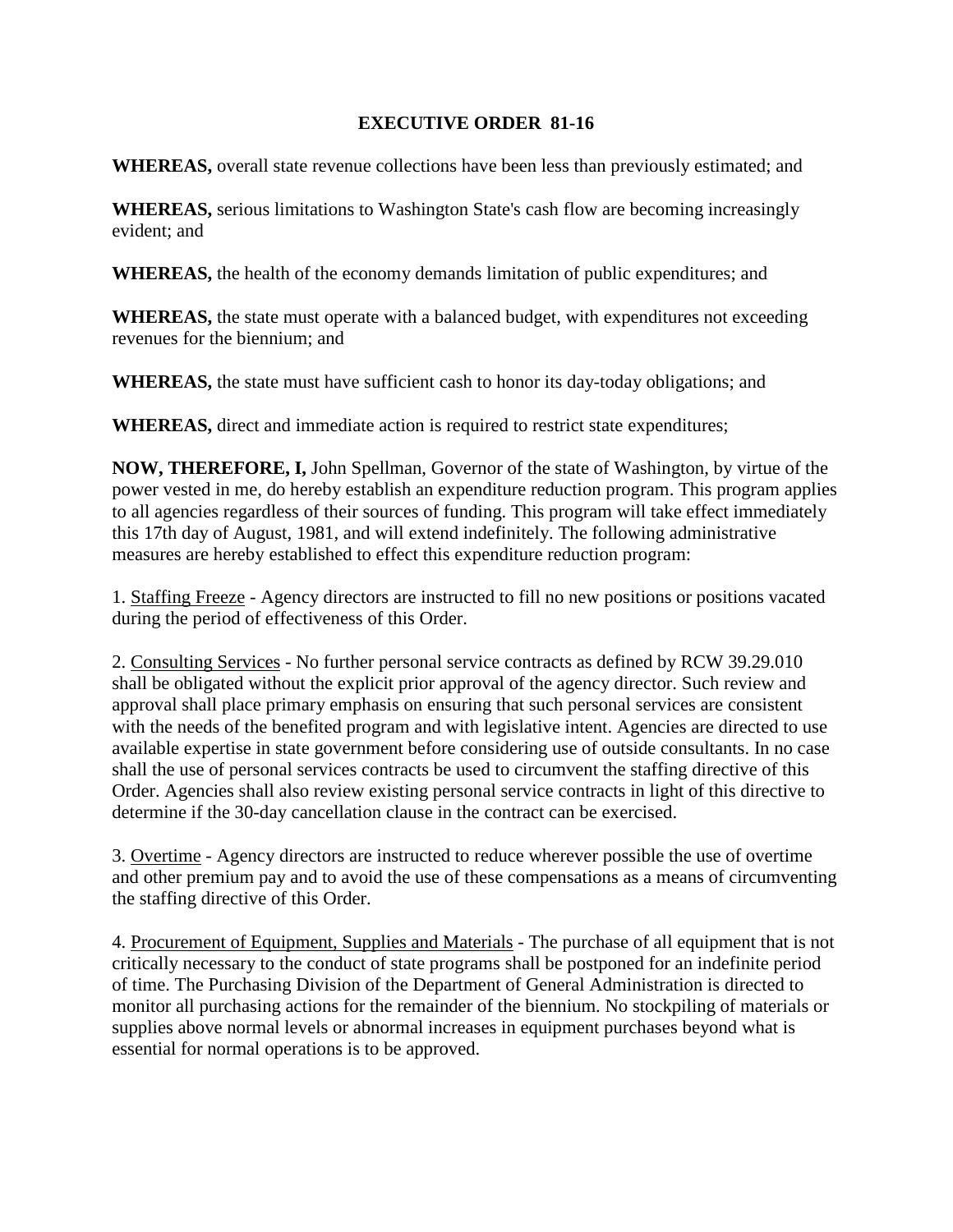## **EXECUTIVE ORDER 81-16**

**WHEREAS,** overall state revenue collections have been less than previously estimated; and

**WHEREAS,** serious limitations to Washington State's cash flow are becoming increasingly evident; and

**WHEREAS,** the health of the economy demands limitation of public expenditures; and

**WHEREAS,** the state must operate with a balanced budget, with expenditures not exceeding revenues for the biennium; and

**WHEREAS,** the state must have sufficient cash to honor its day-today obligations; and

**WHEREAS,** direct and immediate action is required to restrict state expenditures;

**NOW, THEREFORE, I,** John Spellman, Governor of the state of Washington, by virtue of the power vested in me, do hereby establish an expenditure reduction program. This program applies to all agencies regardless of their sources of funding. This program will take effect immediately this 17th day of August, 1981, and will extend indefinitely. The following administrative measures are hereby established to effect this expenditure reduction program:

1. Staffing Freeze - Agency directors are instructed to fill no new positions or positions vacated during the period of effectiveness of this Order.

2. Consulting Services - No further personal service contracts as defined by RCW 39.29.010 shall be obligated without the explicit prior approval of the agency director. Such review and approval shall place primary emphasis on ensuring that such personal services are consistent with the needs of the benefited program and with legislative intent. Agencies are directed to use available expertise in state government before considering use of outside consultants. In no case shall the use of personal services contracts be used to circumvent the staffing directive of this Order. Agencies shall also review existing personal service contracts in light of this directive to determine if the 30-day cancellation clause in the contract can be exercised.

3. Overtime - Agency directors are instructed to reduce wherever possible the use of overtime and other premium pay and to avoid the use of these compensations as a means of circumventing the staffing directive of this Order.

4. Procurement of Equipment, Supplies and Materials - The purchase of all equipment that is not critically necessary to the conduct of state programs shall be postponed for an indefinite period of time. The Purchasing Division of the Department of General Administration is directed to monitor all purchasing actions for the remainder of the biennium. No stockpiling of materials or supplies above normal levels or abnormal increases in equipment purchases beyond what is essential for normal operations is to be approved.